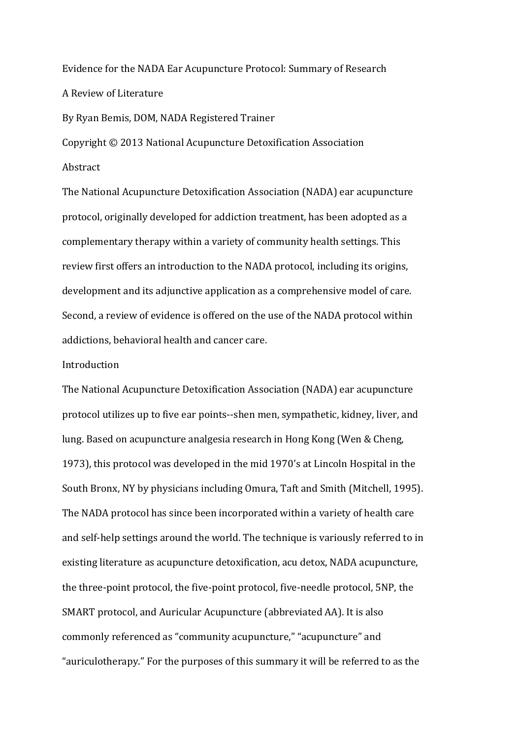Evidence for the NADA Ear Acupuncture Protocol: Summary of Research A Review of Literature

By Ryan Bemis, DOM, NADA Registered Trainer

Copyright © 2013 National Acupuncture Detoxification Association Abstract

The National Acupuncture Detoxification Association (NADA) ear acupuncture protocol, originally developed for addiction treatment, has been adopted as a complementary therapy within a variety of community health settings. This review first offers an introduction to the NADA protocol, including its origins, development and its adjunctive application as a comprehensive model of care. Second, a review of evidence is offered on the use of the NADA protocol within addictions, behavioral health and cancer care.

## Introduction

The National Acupuncture Detoxification Association (NADA) ear acupuncture protocol utilizes up to five ear points--shen men, sympathetic, kidney, liver, and lung. Based on acupuncture analgesia research in Hong Kong (Wen & Cheng, 1973), this protocol was developed in the mid 1970's at Lincoln Hospital in the South Bronx, NY by physicians including Omura, Taft and Smith (Mitchell, 1995). The NADA protocol has since been incorporated within a variety of health care and self-help settings around the world. The technique is variously referred to in existing literature as acupuncture detoxification, acu detox, NADA acupuncture, the three-point protocol, the five-point protocol, five-needle protocol, 5NP, the SMART protocol, and Auricular Acupuncture (abbreviated AA). It is also commonly referenced as "community acupuncture," "acupuncture" and "auriculotherapy." For the purposes of this summary it will be referred to as the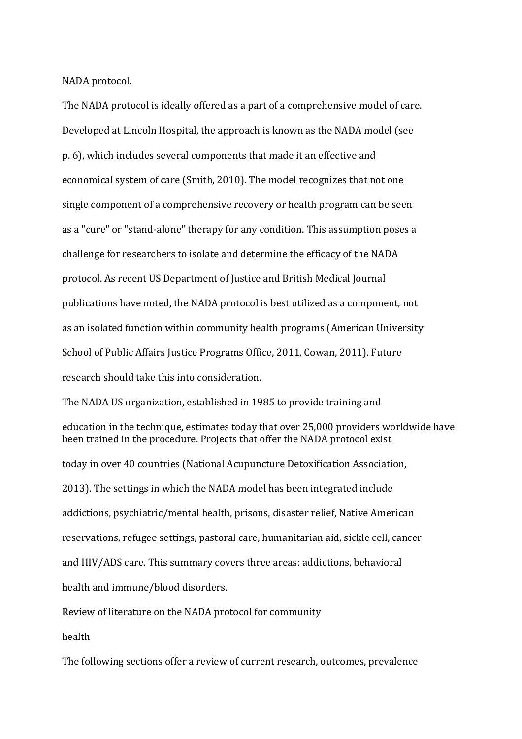NADA protocol.

The NADA protocol is ideally offered as a part of a comprehensive model of care. Developed at Lincoln Hospital, the approach is known as the NADA model (see p. 6), which includes several components that made it an effective and economical system of care (Smith, 2010). The model recognizes that not one single component of a comprehensive recovery or health program can be seen as a "cure" or "stand-alone" therapy for any condition. This assumption poses a challenge for researchers to isolate and determine the efficacy of the NADA protocol. As recent US Department of Justice and British Medical Journal publications have noted, the NADA protocol is best utilized as a component, not as an isolated function within community health programs (American University School of Public Affairs Justice Programs Office, 2011, Cowan, 2011). Future research should take this into consideration.

The NADA US organization, established in 1985 to provide training and

education in the technique, estimates today that over 25,000 providers worldwide have been trained in the procedure. Projects that offer the NADA protocol exist today in over 40 countries (National Acupuncture Detoxification Association, 2013). The settings in which the NADA model has been integrated include addictions, psychiatric/mental health, prisons, disaster relief, Native American reservations, refugee settings, pastoral care, humanitarian aid, sickle cell, cancer and HIV/ADS care. This summary covers three areas: addictions, behavioral health and immune/blood disorders.

Review of literature on the NADA protocol for community

health 

The following sections offer a review of current research, outcomes, prevalence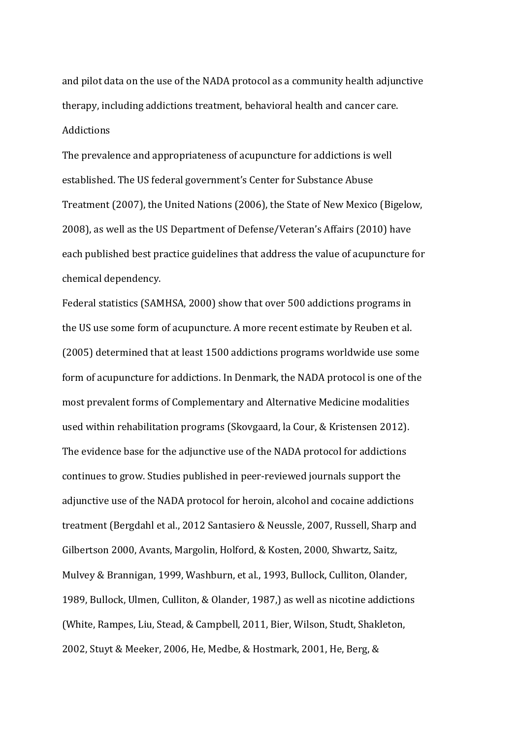and pilot data on the use of the NADA protocol as a community health adjunctive therapy, including addictions treatment, behavioral health and cancer care. Addictions

The prevalence and appropriateness of acupuncture for addictions is well established. The US federal government's Center for Substance Abuse Treatment (2007), the United Nations (2006), the State of New Mexico (Bigelow, 2008), as well as the US Department of Defense/Veteran's Affairs (2010) have each published best practice guidelines that address the value of acupuncture for chemical dependency. 

Federal statistics (SAMHSA, 2000) show that over 500 addictions programs in the US use some form of acupuncture. A more recent estimate by Reuben et al. (2005) determined that at least 1500 addictions programs worldwide use some form of acupuncture for addictions. In Denmark, the NADA protocol is one of the most prevalent forms of Complementary and Alternative Medicine modalities used within rehabilitation programs (Skovgaard, la Cour, & Kristensen 2012). The evidence base for the adjunctive use of the NADA protocol for addictions continues to grow. Studies published in peer-reviewed journals support the adjunctive use of the NADA protocol for heroin, alcohol and cocaine addictions treatment (Bergdahl et al., 2012 Santasiero & Neussle, 2007, Russell, Sharp and Gilbertson 2000, Avants, Margolin, Holford, & Kosten, 2000, Shwartz, Saitz, Mulvey & Brannigan, 1999, Washburn, et al., 1993, Bullock, Culliton, Olander, 1989, Bullock, Ulmen, Culliton, & Olander, 1987,) as well as nicotine addictions (White, Rampes, Liu, Stead, & Campbell, 2011, Bier, Wilson, Studt, Shakleton, 2002, Stuyt & Meeker, 2006, He, Medbe, & Hostmark, 2001, He, Berg, &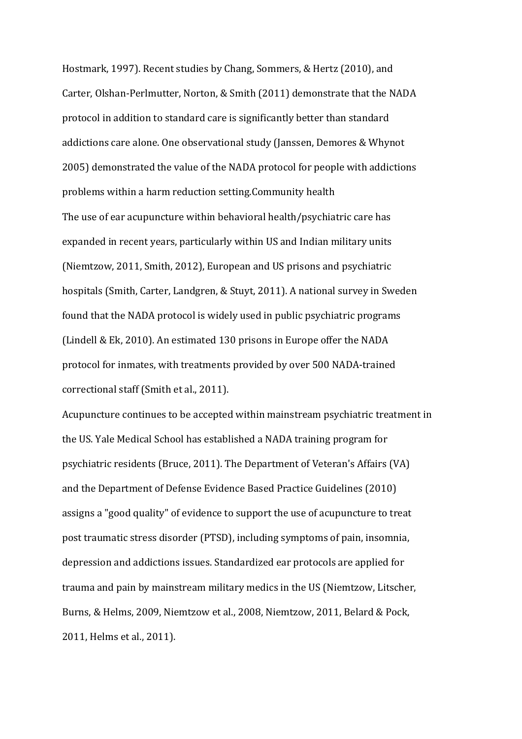Hostmark, 1997). Recent studies by Chang, Sommers, & Hertz (2010), and Carter, Olshan-Perlmutter, Norton, & Smith (2011) demonstrate that the NADA protocol in addition to standard care is significantly better than standard addictions care alone. One observational study (Janssen, Demores & Whynot 2005) demonstrated the value of the NADA protocol for people with addictions problems within a harm reduction setting.Community health The use of ear acupuncture within behavioral health/psychiatric care has expanded in recent years, particularly within US and Indian military units (Niemtzow, 2011, Smith, 2012), European and US prisons and psychiatric hospitals (Smith, Carter, Landgren, & Stuyt, 2011). A national survey in Sweden found that the NADA protocol is widely used in public psychiatric programs (Lindell & Ek, 2010). An estimated 130 prisons in Europe offer the NADA protocol for inmates, with treatments provided by over 500 NADA-trained correctional staff (Smith et al., 2011).

Acupuncture continues to be accepted within mainstream psychiatric treatment in the US. Yale Medical School has established a NADA training program for psychiatric residents (Bruce, 2011). The Department of Veteran's Affairs (VA) and the Department of Defense Evidence Based Practice Guidelines (2010) assigns a "good quality" of evidence to support the use of acupuncture to treat post traumatic stress disorder (PTSD), including symptoms of pain, insomnia, depression and addictions issues. Standardized ear protocols are applied for trauma and pain by mainstream military medics in the US (Niemtzow, Litscher, Burns, & Helms, 2009, Niemtzow et al., 2008, Niemtzow, 2011, Belard & Pock, 2011, Helms et al., 2011).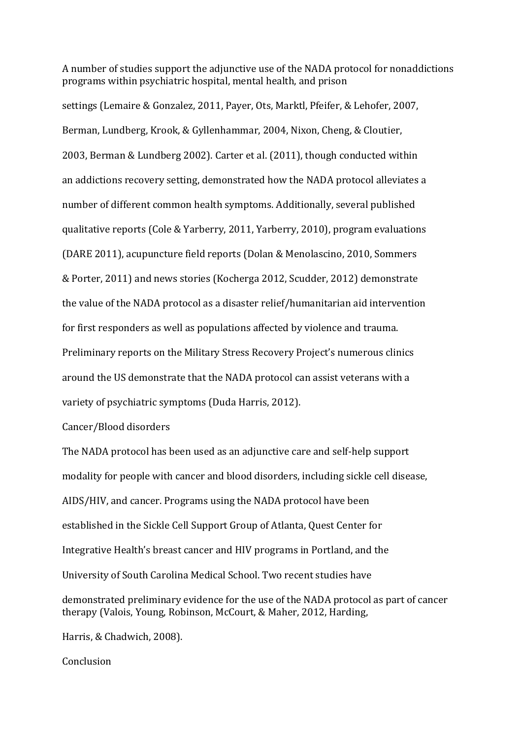A number of studies support the adjunctive use of the NADA protocol for nonaddictions programs within psychiatric hospital, mental health, and prison

settings (Lemaire & Gonzalez, 2011, Payer, Ots, Marktl, Pfeifer, & Lehofer, 2007, Berman, Lundberg, Krook, & Gyllenhammar, 2004, Nixon, Cheng, & Cloutier, 2003, Berman & Lundberg 2002). Carter et al. (2011), though conducted within an addictions recovery setting, demonstrated how the NADA protocol alleviates a number of different common health symptoms. Additionally, several published qualitative reports (Cole & Yarberry, 2011, Yarberry, 2010), program evaluations (DARE 2011), acupuncture field reports (Dolan & Menolascino, 2010, Sommers & Porter, 2011) and news stories (Kocherga 2012, Scudder, 2012) demonstrate the value of the NADA protocol as a disaster relief/humanitarian aid intervention for first responders as well as populations affected by violence and trauma. Preliminary reports on the Military Stress Recovery Project's numerous clinics around the US demonstrate that the NADA protocol can assist veterans with a variety of psychiatric symptoms (Duda Harris, 2012).

Cancer/Blood disorders

The NADA protocol has been used as an adjunctive care and self-help support modality for people with cancer and blood disorders, including sickle cell disease, AIDS/HIV, and cancer. Programs using the NADA protocol have been established in the Sickle Cell Support Group of Atlanta, Quest Center for Integrative Health's breast cancer and HIV programs in Portland, and the University of South Carolina Medical School. Two recent studies have demonstrated preliminary evidence for the use of the NADA protocol as part of cancer therapy (Valois, Young, Robinson, McCourt, & Maher, 2012, Harding,

Harris, & Chadwich, 2008).

Conclusion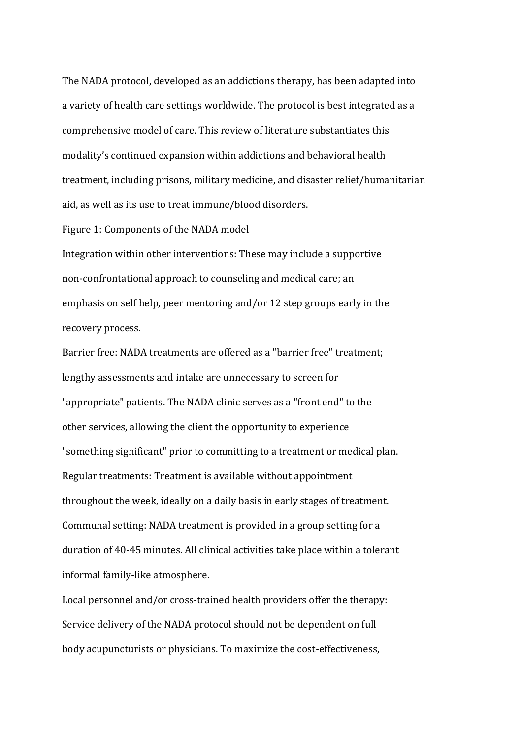The NADA protocol, developed as an addictions therapy, has been adapted into a variety of health care settings worldwide. The protocol is best integrated as a comprehensive model of care. This review of literature substantiates this modality's continued expansion within addictions and behavioral health treatment, including prisons, military medicine, and disaster relief/humanitarian aid, as well as its use to treat immune/blood disorders.

Figure 1: Components of the NADA model

Integration within other interventions: These may include a supportive non-confrontational approach to counseling and medical care; an emphasis on self help, peer mentoring and/or 12 step groups early in the recovery process.

Barrier free: NADA treatments are offered as a "barrier free" treatment: lengthy assessments and intake are unnecessary to screen for "appropriate" patients. The NADA clinic serves as a "front end" to the other services, allowing the client the opportunity to experience "something significant" prior to committing to a treatment or medical plan. Regular treatments: Treatment is available without appointment throughout the week, ideally on a daily basis in early stages of treatment. Communal setting: NADA treatment is provided in a group setting for a duration of 40-45 minutes. All clinical activities take place within a tolerant informal family-like atmosphere.

Local personnel and/or cross-trained health providers offer the therapy: Service delivery of the NADA protocol should not be dependent on full body acupuncturists or physicians. To maximize the cost-effectiveness,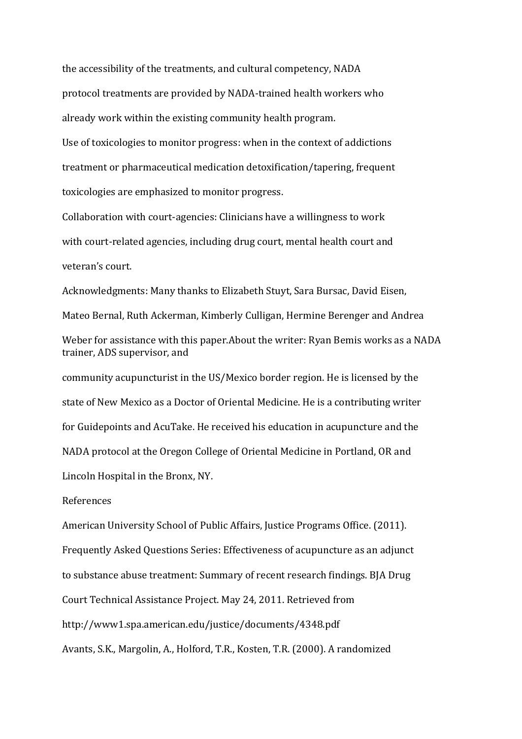the accessibility of the treatments, and cultural competency, NADA protocol treatments are provided by NADA-trained health workers who already work within the existing community health program.

Use of toxicologies to monitor progress: when in the context of addictions treatment or pharmaceutical medication detoxification/tapering, frequent toxicologies are emphasized to monitor progress.

Collaboration with court-agencies: Clinicians have a willingness to work with court-related agencies, including drug court, mental health court and veteran's court.

Acknowledgments: Many thanks to Elizabeth Stuyt, Sara Bursac, David Eisen, Mateo Bernal, Ruth Ackerman, Kimberly Culligan, Hermine Berenger and Andrea Weber for assistance with this paper.About the writer: Ryan Bemis works as a NADA trainer, ADS supervisor, and community acupuncturist in the US/Mexico border region. He is licensed by the state of New Mexico as a Doctor of Oriental Medicine. He is a contributing writer for Guidepoints and AcuTake. He received his education in acupuncture and the NADA protocol at the Oregon College of Oriental Medicine in Portland, OR and Lincoln Hospital in the Bronx, NY.

## References

American University School of Public Affairs, Justice Programs Office. (2011). Frequently Asked Questions Series: Effectiveness of acupuncture as an adjunct to substance abuse treatment: Summary of recent research findings. BJA Drug Court Technical Assistance Project. May 24, 2011. Retrieved from http://www1.spa.american.edu/justice/documents/4348.pdf Avants, S.K., Margolin, A., Holford, T.R., Kosten, T.R. (2000). A randomized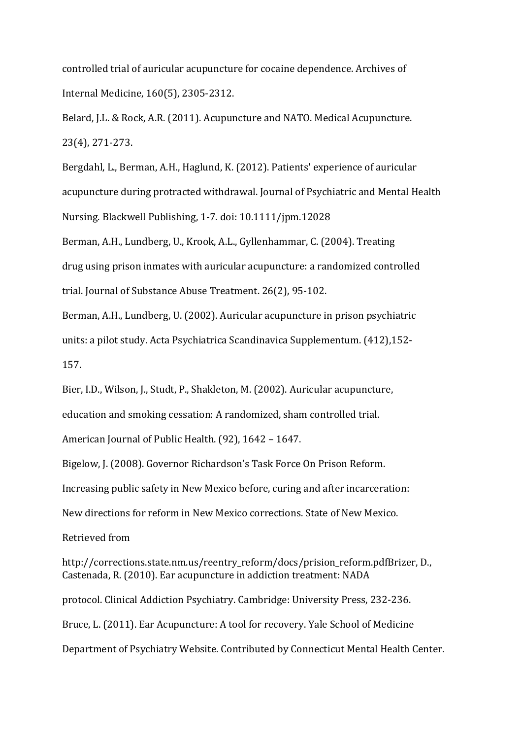controlled trial of auricular acupuncture for cocaine dependence. Archives of Internal Medicine, 160(5), 2305-2312.

Belard, J.L. & Rock, A.R. (2011). Acupuncture and NATO. Medical Acupuncture. 23(4), 271-273.

Bergdahl, L., Berman, A.H., Haglund, K. (2012). Patients' experience of auricular acupuncture during protracted withdrawal. Journal of Psychiatric and Mental Health Nursing. Blackwell Publishing, 1-7. doi: 10.1111/jpm.12028

Berman, A.H., Lundberg, U., Krook, A.L., Gyllenhammar, C. (2004). Treating drug using prison inmates with auricular acupuncture: a randomized controlled trial. Journal of Substance Abuse Treatment. 26(2), 95-102.

Berman, A.H., Lundberg, U. (2002). Auricular acupuncture in prison psychiatric units: a pilot study. Acta Psychiatrica Scandinavica Supplementum. (412),152-157.

Bier, I.D., Wilson, J., Studt, P., Shakleton, M. (2002). Auricular acupuncture,

education and smoking cessation: A randomized, sham controlled trial.

American Journal of Public Health. (92), 1642 - 1647.

Bigelow, J. (2008). Governor Richardson's Task Force On Prison Reform.

Increasing public safety in New Mexico before, curing and after incarceration:

New directions for reform in New Mexico corrections. State of New Mexico.

Retrieved from

http://corrections.state.nm.us/reentry\_reform/docs/prision\_reform.pdfBrizer, D., Castenada, R. (2010). Ear acupuncture in addiction treatment: NADA protocol. Clinical Addiction Psychiatry. Cambridge: University Press, 232-236. Bruce, L. (2011). Ear Acupuncture: A tool for recovery. Yale School of Medicine Department of Psychiatry Website. Contributed by Connecticut Mental Health Center.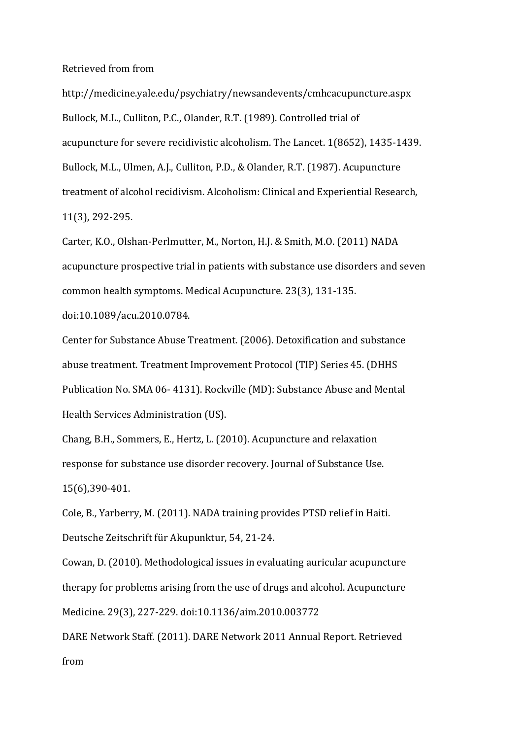Retrieved from from

http://medicine.yale.edu/psychiatry/newsandevents/cmhcacupuncture.aspx Bullock, M.L., Culliton, P.C., Olander, R.T. (1989). Controlled trial of acupuncture for severe recidivistic alcoholism. The Lancet. 1(8652), 1435-1439. Bullock, M.L., Ulmen, A.J., Culliton, P.D., & Olander, R.T. (1987). Acupuncture treatment of alcohol recidivism. Alcoholism: Clinical and Experiential Research, 11(3), 292-295.

Carter, K.O., Olshan-Perlmutter, M., Norton, H.J. & Smith, M.O. (2011) NADA acupuncture prospective trial in patients with substance use disorders and seven common health symptoms. Medical Acupuncture. 23(3), 131-135.

doi:10.1089/acu.2010.0784.

Center for Substance Abuse Treatment. (2006). Detoxification and substance abuse treatment. Treatment Improvement Protocol (TIP) Series 45. (DHHS Publication No. SMA 06- 4131). Rockville (MD): Substance Abuse and Mental Health Services Administration (US).

Chang, B.H., Sommers, E., Hertz, L. (2010). Acupuncture and relaxation response for substance use disorder recovery. Journal of Substance Use. 15(6),390-401.

Cole, B., Yarberry, M. (2011). NADA training provides PTSD relief in Haiti. Deutsche Zeitschrift für Akupunktur, 54, 21-24.

Cowan, D. (2010). Methodological issues in evaluating auricular acupuncture therapy for problems arising from the use of drugs and alcohol. Acupuncture Medicine. 29(3), 227-229. doi:10.1136/aim.2010.003772

DARE Network Staff. (2011). DARE Network 2011 Annual Report. Retrieved from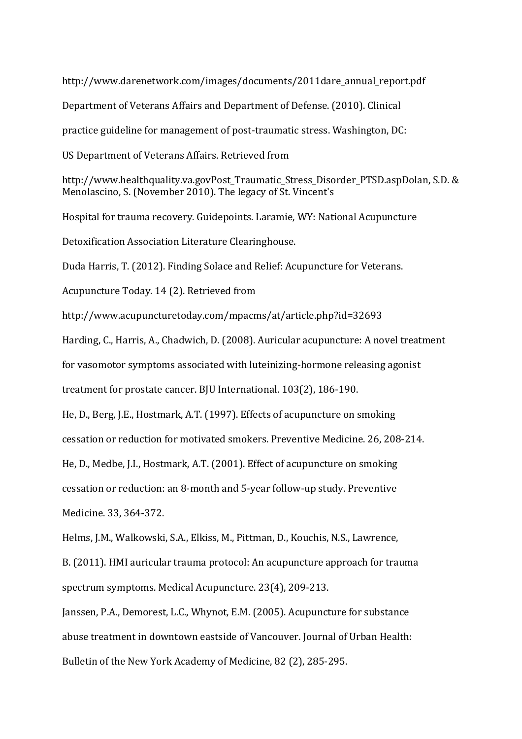http://www.darenetwork.com/images/documents/2011dare\_annual\_report.pdf Department of Veterans Affairs and Department of Defense. (2010). Clinical practice guideline for management of post-traumatic stress. Washington, DC: US Department of Veterans Affairs. Retrieved from http://www.healthquality.va.govPost Traumatic Stress Disorder PTSD.aspDolan, S.D. & Menolascino, S. (November 2010). The legacy of St. Vincent's Hospital for trauma recovery. Guidepoints. Laramie, WY: National Acupuncture Detoxification Association Literature Clearinghouse. Duda Harris, T. (2012). Finding Solace and Relief: Acupuncture for Veterans. Acupuncture Today. 14 (2). Retrieved from http://www.acupuncturetoday.com/mpacms/at/article.php?id=32693 Harding, C., Harris, A., Chadwich, D. (2008). Auricular acupuncture: A novel treatment for vasomotor symptoms associated with luteinizing-hormone releasing agonist treatment for prostate cancer. BIU International. 103(2), 186-190. He, D., Berg, J.E., Hostmark, A.T. (1997). Effects of acupuncture on smoking cessation or reduction for motivated smokers. Preventive Medicine. 26, 208-214. He, D., Medbe, J.I., Hostmark, A.T. (2001). Effect of acupuncture on smoking cessation or reduction: an 8-month and 5-year follow-up study. Preventive Medicine. 33, 364-372. Helms, J.M., Walkowski, S.A., Elkiss, M., Pittman, D., Kouchis, N.S., Lawrence, B. (2011). HMI auricular trauma protocol: An acupuncture approach for trauma spectrum symptoms. Medical Acupuncture. 23(4), 209-213. Janssen, P.A., Demorest, L.C., Whynot, E.M. (2005). Acupuncture for substance abuse treatment in downtown eastside of Vancouver. Journal of Urban Health: Bulletin of the New York Academy of Medicine, 82 (2), 285-295.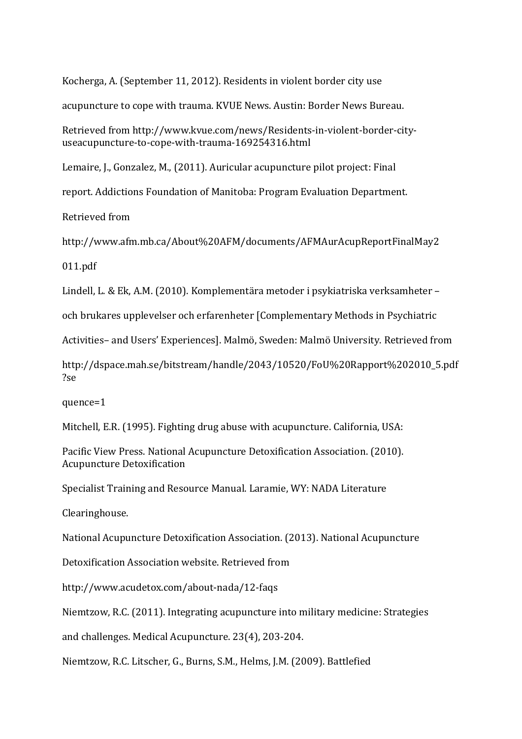Kocherga, A. (September 11, 2012). Residents in violent border city use

acupuncture to cope with trauma. KVUE News. Austin: Border News Bureau.

Retrieved from http://www.kvue.com/news/Residents-in-violent-border-cityuseacupuncture-to-cope-with-trauma-169254316.html

Lemaire, J., Gonzalez, M., (2011). Auricular acupuncture pilot project: Final

report. Addictions Foundation of Manitoba: Program Evaluation Department.

Retrieved from

http://www.afm.mb.ca/About%20AFM/documents/AFMAurAcupReportFinalMay2

011.pdf

Lindell, L. & Ek, A.M. (2010). Komplementära metoder i psykiatriska verksamheter –

och brukares upplevelser och erfarenheter [Complementary Methods in Psychiatric

Activities- and Users' Experiences]. Malmö, Sweden: Malmö University. Retrieved from

http://dspace.mah.se/bitstream/handle/2043/10520/FoU%20Rapport%202010\_5.pdf ?se

quence=1

Mitchell, E.R. (1995). Fighting drug abuse with acupuncture. California, USA:

Pacific View Press. National Acupuncture Detoxification Association. (2010). Acupuncture Detoxification

Specialist Training and Resource Manual. Laramie, WY: NADA Literature

Clearinghouse.

National Acupuncture Detoxification Association. (2013). National Acupuncture

Detoxification Association website. Retrieved from

http://www.acudetox.com/about-nada/12-faqs

Niemtzow, R.C. (2011). Integrating acupuncture into military medicine: Strategies

and challenges. Medical Acupuncture. 23(4), 203-204.

Niemtzow, R.C. Litscher, G., Burns, S.M., Helms, J.M. (2009). Battlefied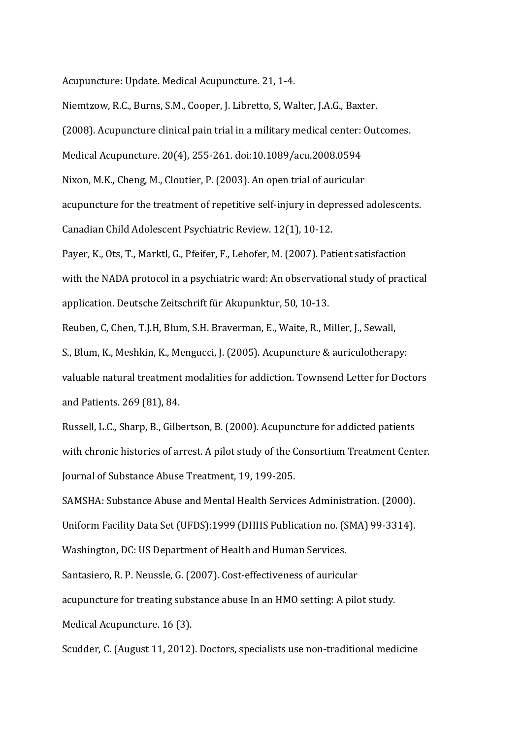Acupuncture: Update. Medical Acupuncture. 21, 1-4.

Niemtzow, R.C., Burns, S.M., Cooper, J. Libretto, S, Walter, J.A.G., Baxter.

(2008). Acupuncture clinical pain trial in a military medical center: Outcomes.

Medical Acupuncture. 20(4), 255-261. doi:10.1089/acu.2008.0594

Nixon, M.K., Cheng, M., Cloutier, P. (2003). An open trial of auricular

acupuncture for the treatment of repetitive self-injury in depressed adolescents.

Canadian Child Adolescent Psychiatric Review. 12(1), 10-12.

Payer, K., Ots, T., Marktl, G., Pfeifer, F., Lehofer, M. (2007). Patient satisfaction with the NADA protocol in a psychiatric ward: An observational study of practical application. Deutsche Zeitschrift für Akupunktur, 50, 10-13.

Reuben, C, Chen, T.J.H, Blum, S.H. Braverman, E., Waite, R., Miller, J., Sewall,

S., Blum, K., Meshkin, K., Mengucci, J. (2005). Acupuncture & auriculotherapy: valuable natural treatment modalities for addiction. Townsend Letter for Doctors and Patients. 269 (81), 84.

Russell, L.C., Sharp, B., Gilbertson, B. (2000). Acupuncture for addicted patients with chronic histories of arrest. A pilot study of the Consortium Treatment Center. Journal of Substance Abuse Treatment, 19, 199-205.

SAMSHA: Substance Abuse and Mental Health Services Administration. (2000).

Uniform Facility Data Set (UFDS):1999 (DHHS Publication no. (SMA) 99-3314).

Washington, DC: US Department of Health and Human Services.

Santasiero, R. P. Neussle, G. (2007). Cost-effectiveness of auricular

acupuncture for treating substance abuse In an HMO setting: A pilot study.

Medical Acupuncture. 16 (3).

Scudder, C. (August 11, 2012). Doctors, specialists use non-traditional medicine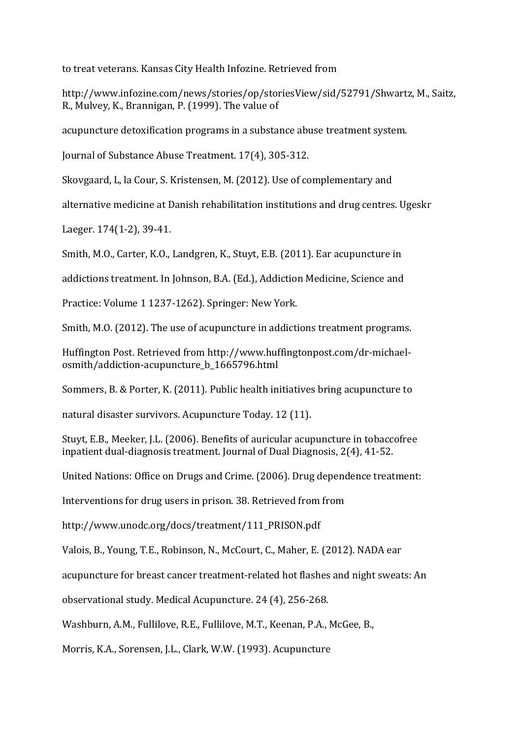to treat veterans. Kansas City Health Infozine. Retrieved from

http://www.infozine.com/news/stories/op/storiesView/sid/52791/Shwartz, M., Saitz, R., Mulvey, K., Brannigan, P. (1999). The value of

acupuncture detoxification programs in a substance abuse treatment system.

Journal of Substance Abuse Treatment. 17(4), 305-312.

Skovgaard, L, la Cour, S. Kristensen, M. (2012). Use of complementary and

alternative medicine at Danish rehabilitation institutions and drug centres. Ugeskr

Laeger. 174(1-2), 39-41.

Smith, M.O., Carter, K.O., Landgren, K., Stuyt, E.B. (2011). Ear acupuncture in

addictions treatment. In Johnson, B.A. (Ed.), Addiction Medicine, Science and

Practice: Volume 1 1237-1262). Springer: New York.

Smith, M.O. (2012). The use of acupuncture in addictions treatment programs.

Huffington Post. Retrieved from http://www.huffingtonpost.com/dr-michaelosmith/addiction-acupuncture\_b\_1665796.html

Sommers, B. & Porter, K. (2011). Public health initiatives bring acupuncture to

natural disaster survivors. Acupuncture Today. 12 (11).

Stuyt, E.B., Meeker, J.L. (2006). Benefits of auricular acupuncture in tobaccofree inpatient dual-diagnosis treatment. Journal of Dual Diagnosis,  $2(4)$ , 41-52.

United Nations: Office on Drugs and Crime. (2006). Drug dependence treatment:

Interventions for drug users in prison. 38. Retrieved from from

http://www.unodc.org/docs/treatment/111\_PRISON.pdf

Valois, B., Young, T.E., Robinson, N., McCourt, C., Maher, E. (2012). NADA ear

acupuncture for breast cancer treatment-related hot flashes and night sweats: An

observational study. Medical Acupuncture. 24 (4), 256-268.

Washburn, A.M., Fullilove, R.E., Fullilove, M.T., Keenan, P.A., McGee, B.,

Morris, K.A., Sorensen, I.L., Clark, W.W. (1993). Acupuncture